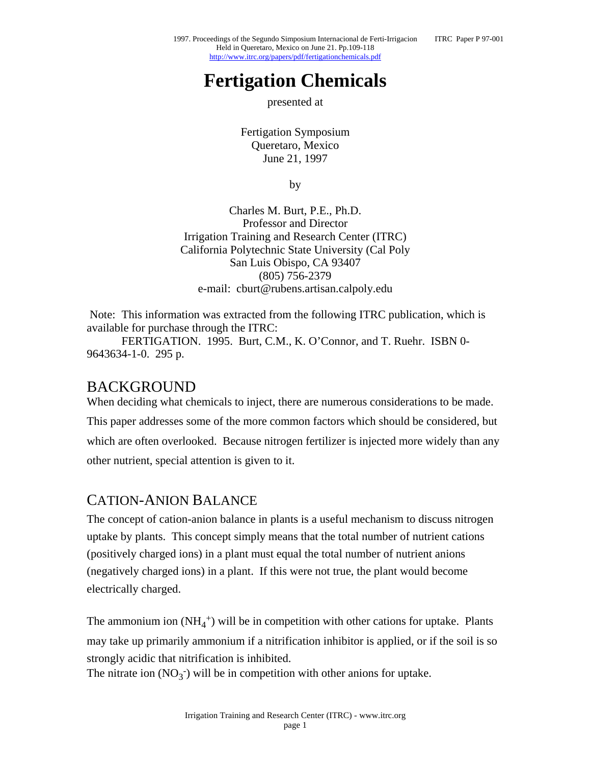# **Fertigation Chemicals**

presented at

Fertigation Symposium Queretaro, Mexico June 21, 1997

by

Charles M. Burt, P.E., Ph.D. Professor and Director Irrigation Training and Research Center (ITRC) California Polytechnic State University (Cal Poly San Luis Obispo, CA 93407 (805) 756-2379 e-mail: cburt@rubens.artisan.calpoly.edu

 Note: This information was extracted from the following ITRC publication, which is available for purchase through the ITRC:

 FERTIGATION. 1995. Burt, C.M., K. O'Connor, and T. Ruehr. ISBN 0- 9643634-1-0. 295 p.

#### BACKGROUND

When deciding what chemicals to inject, there are numerous considerations to be made.

This paper addresses some of the more common factors which should be considered, but which are often overlooked. Because nitrogen fertilizer is injected more widely than any other nutrient, special attention is given to it.

#### CATION-ANION BALANCE

The concept of cation-anion balance in plants is a useful mechanism to discuss nitrogen uptake by plants. This concept simply means that the total number of nutrient cations (positively charged ions) in a plant must equal the total number of nutrient anions (negatively charged ions) in a plant. If this were not true, the plant would become electrically charged.

The ammonium ion  $(NH_4^+)$  will be in competition with other cations for uptake. Plants may take up primarily ammonium if a nitrification inhibitor is applied, or if the soil is so strongly acidic that nitrification is inhibited.

The nitrate ion  $(NO<sub>3</sub><sup>-</sup>)$  will be in competition with other anions for uptake.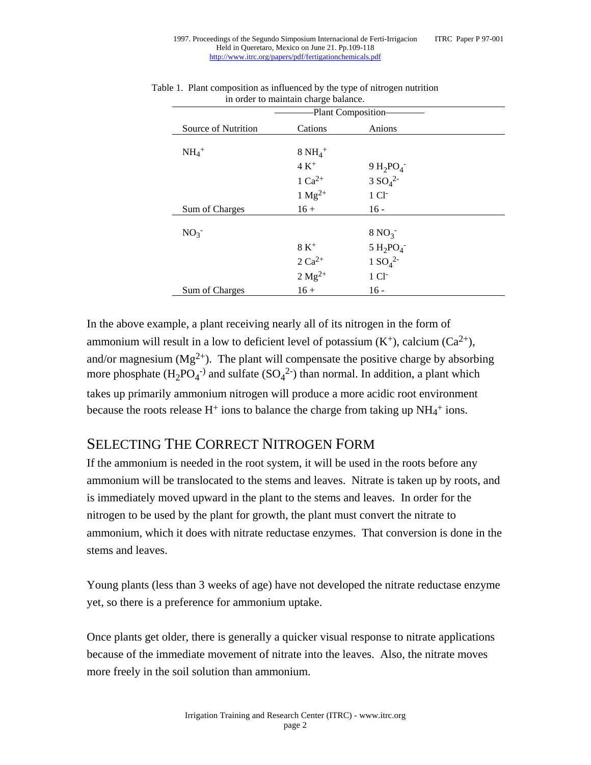|                     | In order to manitally charge balance. |                                |  |
|---------------------|---------------------------------------|--------------------------------|--|
|                     |                                       | -Plant Composition-            |  |
| Source of Nutrition | Cations                               | Anions                         |  |
| $NH_4$ <sup>+</sup> | $8 \text{ NH}_4^+$                    |                                |  |
|                     | $4 K+$                                | $9 H_2PO_4^-$                  |  |
|                     | $1 Ca2+$                              | 3 SO <sub>4</sub> <sup>2</sup> |  |
|                     | $1 \text{ Mg}^{2+}$                   | 1 <sup>C1</sup>                |  |
| Sum of Charges      | $16 +$                                | $16 -$                         |  |
| NO <sub>3</sub>     |                                       | $8\,\text{NO}_3$               |  |
|                     | $8 K+$                                | $5 H_2PO_4^-$                  |  |
|                     | $2 Ca2+$                              | 1 SO <sub>4</sub> <sup>2</sup> |  |
|                     | $2 Mg^{2+}$                           | 1 <sup>C</sup>                 |  |
| Sum of Charges      | $16 +$                                | $16 -$                         |  |

| Table 1. Plant composition as influenced by the type of nitrogen nutrition |
|----------------------------------------------------------------------------|
| in order to maintain charge balance.                                       |

In the above example, a plant receiving nearly all of its nitrogen in the form of ammonium will result in a low to deficient level of potassium  $(K^+)$ , calcium  $(Ca^{2+})$ , and/or magnesium  $(Mg^{2+})$ . The plant will compensate the positive charge by absorbing more phosphate  $(H_2PO_4^{-})$  and sulfate  $(SO_4^{2-})$  than normal. In addition, a plant which takes up primarily ammonium nitrogen will produce a more acidic root environment because the roots release  $H^+$  ions to balance the charge from taking up  $NH_4^+$  ions.

### SELECTING THE CORRECT NITROGEN FORM

If the ammonium is needed in the root system, it will be used in the roots before any ammonium will be translocated to the stems and leaves. Nitrate is taken up by roots, and is immediately moved upward in the plant to the stems and leaves. In order for the nitrogen to be used by the plant for growth, the plant must convert the nitrate to ammonium, which it does with nitrate reductase enzymes. That conversion is done in the stems and leaves.

Young plants (less than 3 weeks of age) have not developed the nitrate reductase enzyme yet, so there is a preference for ammonium uptake.

Once plants get older, there is generally a quicker visual response to nitrate applications because of the immediate movement of nitrate into the leaves. Also, the nitrate moves more freely in the soil solution than ammonium.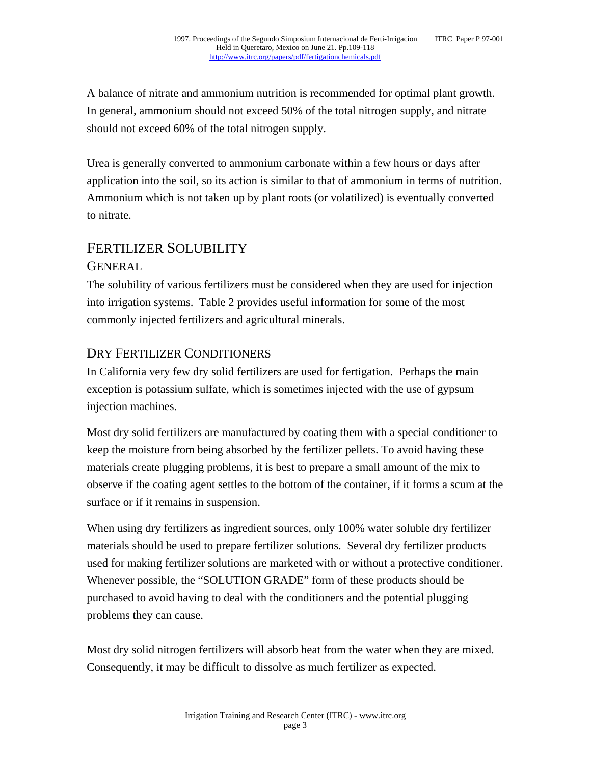A balance of nitrate and ammonium nutrition is recommended for optimal plant growth. In general, ammonium should not exceed 50% of the total nitrogen supply, and nitrate should not exceed 60% of the total nitrogen supply.

Urea is generally converted to ammonium carbonate within a few hours or days after application into the soil, so its action is similar to that of ammonium in terms of nutrition. Ammonium which is not taken up by plant roots (or volatilized) is eventually converted to nitrate.

## FERTILIZER SOLUBILITY

#### GENERAL

The solubility of various fertilizers must be considered when they are used for injection into irrigation systems. Table 2 provides useful information for some of the most commonly injected fertilizers and agricultural minerals.

#### DRY FERTILIZER CONDITIONERS

In California very few dry solid fertilizers are used for fertigation. Perhaps the main exception is potassium sulfate, which is sometimes injected with the use of gypsum injection machines.

Most dry solid fertilizers are manufactured by coating them with a special conditioner to keep the moisture from being absorbed by the fertilizer pellets. To avoid having these materials create plugging problems, it is best to prepare a small amount of the mix to observe if the coating agent settles to the bottom of the container, if it forms a scum at the surface or if it remains in suspension.

When using dry fertilizers as ingredient sources, only 100% water soluble dry fertilizer materials should be used to prepare fertilizer solutions. Several dry fertilizer products used for making fertilizer solutions are marketed with or without a protective conditioner. Whenever possible, the "SOLUTION GRADE" form of these products should be purchased to avoid having to deal with the conditioners and the potential plugging problems they can cause.

Most dry solid nitrogen fertilizers will absorb heat from the water when they are mixed. Consequently, it may be difficult to dissolve as much fertilizer as expected.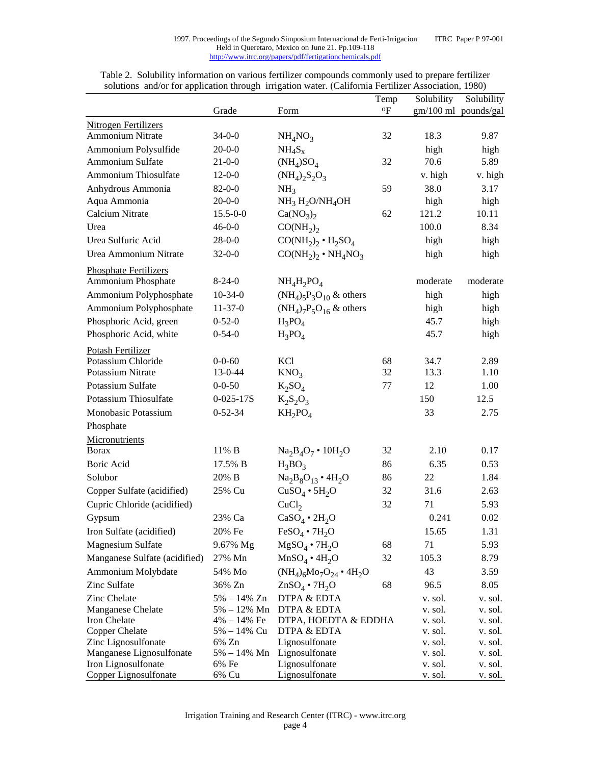|                                                 |                               |                                              | Temp                    | Solubility         | Solubility           |
|-------------------------------------------------|-------------------------------|----------------------------------------------|-------------------------|--------------------|----------------------|
|                                                 | Grade                         | Form                                         | $\mathrm{o}_\mathrm{F}$ |                    | gm/100 ml pounds/gal |
| Nitrogen Fertilizers                            |                               |                                              |                         |                    |                      |
| Ammonium Nitrate                                | $34 - 0 - 0$                  | NH <sub>4</sub> NO <sub>3</sub>              | 32                      | 18.3               | 9.87                 |
| Ammonium Polysulfide                            | $20-0-0$                      | $NH_4S_x$                                    |                         | high               | high                 |
| Ammonium Sulfate                                | $21 - 0 - 0$                  | $(NH_4)SO_4$                                 | 32                      | 70.6               | 5.89                 |
| Ammonium Thiosulfate                            | $12 - 0 - 0$                  | $(NH_4)_2S_2O_3$                             |                         | v. high            | v. high              |
| Anhydrous Ammonia                               | $82 - 0 - 0$                  | NH <sub>3</sub>                              | 59                      | 38.0               | 3.17                 |
| Aqua Ammonia                                    | $20-0-0$                      | $NH3 H2O/NH4OH$                              |                         | high               | high                 |
| Calcium Nitrate                                 | $15.5 - 0 - 0$                | Ca(NO <sub>3</sub> ) <sub>2</sub>            | 62                      | 121.2              | 10.11                |
| Urea                                            | $46 - 0 - 0$                  | $CO(NH_2)$                                   |                         | 100.0              | 8.34                 |
| Urea Sulfuric Acid                              | $28-0-0$                      | $CO(NH_2)_2 \cdot H_2SO_4$                   |                         | high               | high                 |
| Urea Ammonium Nitrate                           | $32 - 0 - 0$                  | $CO(NH_2)$ , $\cdot$ $NH_4NO_3$              |                         | high               | high                 |
| <b>Phosphate Fertilizers</b>                    |                               |                                              |                         |                    |                      |
| Ammonium Phosphate                              | $8-24-0$                      | $NH_4H_2PO_4$                                |                         | moderate           | moderate             |
| Ammonium Polyphosphate                          | $10-34-0$                     | $(NH_4)_{5}P_3O_{10}$ & others               |                         | high               | high                 |
| Ammonium Polyphosphate                          | $11-37-0$                     | $(NH_4)_7P_5O_{16}$ & others                 |                         | high               | high                 |
| Phosphoric Acid, green                          | $0 - 52 - 0$                  | $H_3PO_4$                                    |                         | 45.7               |                      |
| Phosphoric Acid, white                          | $0 - 54 - 0$                  |                                              |                         | 45.7               | high<br>high         |
|                                                 |                               | $H_3PO_4$                                    |                         |                    |                      |
| Potash Fertilizer                               |                               |                                              |                         |                    |                      |
| Potassium Chloride<br>Potassium Nitrate         | $0 - 0 - 60$<br>$13 - 0 - 44$ | KCl<br>KNO <sub>3</sub>                      | 68<br>32                | 34.7<br>13.3       | 2.89<br>1.10         |
| Potassium Sulfate                               | $0 - 0 - 50$                  |                                              | 77                      | 12                 | 1.00                 |
|                                                 |                               | $K_2SO_4$                                    |                         |                    |                      |
| Potassium Thiosulfate                           | $0 - 025 - 17S$               | $K_2S_2O_3$                                  |                         | 150                | 12.5                 |
| Monobasic Potassium                             | $0 - 52 - 34$                 | $KH_2PO_4$                                   |                         | 33                 | 2.75                 |
| Phosphate                                       |                               |                                              |                         |                    |                      |
| Micronutrients                                  |                               |                                              |                         |                    |                      |
| <b>B</b> orax                                   | 11% B                         | $Na2B4O7 \cdot 10H2O$                        | 32                      | 2.10               | 0.17                 |
| Boric Acid                                      | 17.5% B                       | $H_3BO_3$                                    | 86                      | 6.35               | 0.53                 |
| Solubor                                         | 20% B                         | $Na2B8O13$ • 4H <sub>2</sub> O               | 86                      | 22                 | 1.84                 |
| Copper Sulfate (acidified)                      | 25% Cu                        | $CuSO4 \cdot 5H2O$                           | 32                      | 31.6               | 2.63                 |
| Cupric Chloride (acidified)                     |                               | CuCl <sub>2</sub>                            | 32                      | 71                 | 5.93                 |
| Gypsum                                          | 23% Ca                        | $CaSO4 \cdot 2H2O$                           |                         | 0.241              | 0.02                 |
| Iron Sulfate (acidified)                        | 20% Fe                        | $FeSO4 \cdot 7H2O$                           |                         | 15.65              | 1.31                 |
| <b>Magnesium Sulfate</b>                        | 9.67% Mg                      | $MgSO_4 \cdot 7H_2O$                         | 68                      | 71                 | 5.93                 |
| Manganese Sulfate (acidified)                   | 27% Mn                        | $MnSO4 \cdot 4H2O$                           | 32                      | 105.3              | 8.79                 |
| Ammonium Molybdate                              | 54% Mo                        | $(NH_4)_{6}Mo_{7}O_{24}$ • 4H <sub>2</sub> O |                         | 43                 | 3.59                 |
| Zinc Sulfate                                    | 36% Zn                        | $ZnSO_4 \cdot 7H_2O$                         | 68                      | 96.5               | 8.05                 |
| Zinc Chelate                                    | 5% – 14% Zn                   | DTPA & EDTA                                  |                         | v. sol.            | v. sol.              |
| Manganese Chelate                               | 5% – 12% Mn                   | DTPA & EDTA                                  |                         | v. sol.            | v. sol.              |
| Iron Chelate                                    | 4% – 14% Fe                   | DTPA, HOEDTA & EDDHA                         |                         | v. sol.            | v. sol.              |
| Copper Chelate                                  | 5% – 14% Cu                   | DTPA & EDTA                                  |                         | v. sol.            | v. sol.              |
| Zinc Lignosulfonate                             | 6% Zn                         | Lignosulfonate                               |                         | v. sol.            | v. sol.              |
| Manganese Lignosulfonate<br>Iron Lignosulfonate | $5\% - 14\%$ Mn<br>6% Fe      | Lignosulfonate<br>Lignosulfonate             |                         | v. sol.<br>v. sol. | v. sol.<br>v. sol.   |
| Copper Lignosulfonate                           | 6% Cu                         | Lignosulfonate                               |                         | v. sol.            | v. sol.              |

Table 2. Solubility information on various fertilizer compounds commonly used to prepare fertilizer solutions and/or for application through irrigation water. (California Fertilizer Association, 1980)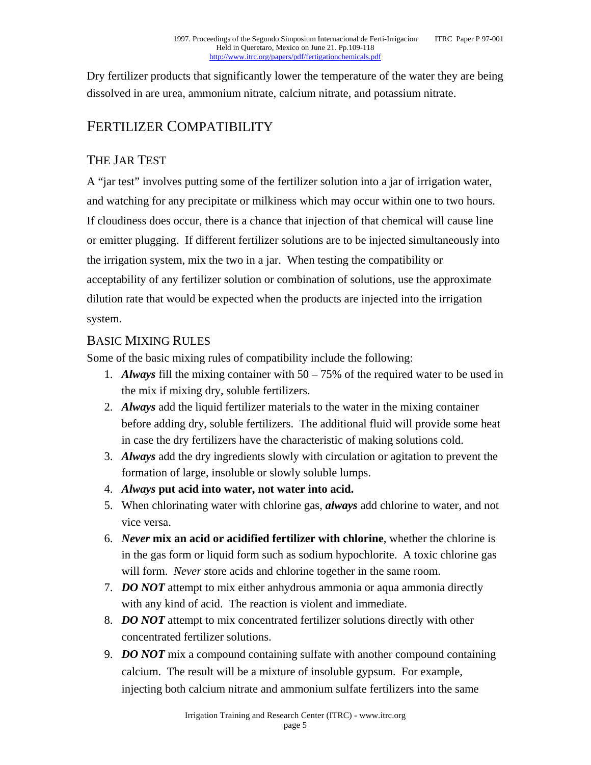Dry fertilizer products that significantly lower the temperature of the water they are being dissolved in are urea, ammonium nitrate, calcium nitrate, and potassium nitrate.

# FERTILIZER COMPATIBILITY

#### THE JAR TEST

A "jar test" involves putting some of the fertilizer solution into a jar of irrigation water, and watching for any precipitate or milkiness which may occur within one to two hours. If cloudiness does occur, there is a chance that injection of that chemical will cause line or emitter plugging. If different fertilizer solutions are to be injected simultaneously into the irrigation system, mix the two in a jar. When testing the compatibility or acceptability of any fertilizer solution or combination of solutions, use the approximate dilution rate that would be expected when the products are injected into the irrigation system.

#### BASIC MIXING RULES

Some of the basic mixing rules of compatibility include the following:

- 1. *Always* fill the mixing container with 50 75% of the required water to be used in the mix if mixing dry, soluble fertilizers.
- 2. *Always* add the liquid fertilizer materials to the water in the mixing container before adding dry, soluble fertilizers. The additional fluid will provide some heat in case the dry fertilizers have the characteristic of making solutions cold.
- 3. *Always* add the dry ingredients slowly with circulation or agitation to prevent the formation of large, insoluble or slowly soluble lumps.
- 4. *Always* **put acid into water, not water into acid.**
- 5. When chlorinating water with chlorine gas, *always* add chlorine to water, and not vice versa.
- 6. *Never* **mix an acid or acidified fertilizer with chlorine**, whether the chlorine is in the gas form or liquid form such as sodium hypochlorite. A toxic chlorine gas will form. *Never* store acids and chlorine together in the same room.
- 7. *DO NOT* attempt to mix either anhydrous ammonia or aqua ammonia directly with any kind of acid. The reaction is violent and immediate.
- 8. *DO NOT* attempt to mix concentrated fertilizer solutions directly with other concentrated fertilizer solutions.
- 9. *DO NOT* mix a compound containing sulfate with another compound containing calcium. The result will be a mixture of insoluble gypsum. For example, injecting both calcium nitrate and ammonium sulfate fertilizers into the same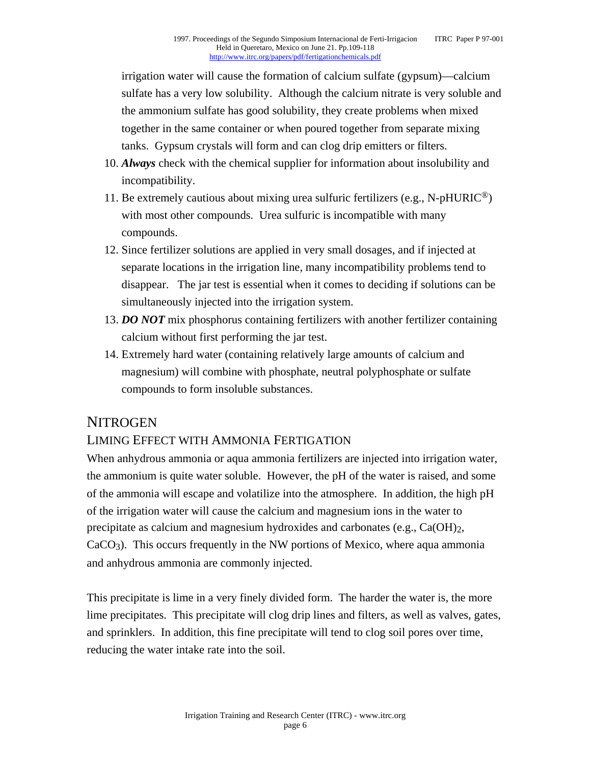irrigation water will cause the formation of calcium sulfate (gypsum)—calcium sulfate has a very low solubility. Although the calcium nitrate is very soluble and the ammonium sulfate has good solubility, they create problems when mixed together in the same container or when poured together from separate mixing tanks. Gypsum crystals will form and can clog drip emitters or filters.

- 10. *Always* check with the chemical supplier for information about insolubility and incompatibility.
- 11. Be extremely cautious about mixing urea sulfuric fertilizers (e.g., N-pHURIC<sup>®</sup>) with most other compounds. Urea sulfuric is incompatible with many compounds.
- 12. Since fertilizer solutions are applied in very small dosages, and if injected at separate locations in the irrigation line, many incompatibility problems tend to disappear. The jar test is essential when it comes to deciding if solutions can be simultaneously injected into the irrigation system.
- 13. *DO NOT* mix phosphorus containing fertilizers with another fertilizer containing calcium without first performing the jar test.
- 14. Extremely hard water (containing relatively large amounts of calcium and magnesium) will combine with phosphate, neutral polyphosphate or sulfate compounds to form insoluble substances.

### **NITROGEN**

#### LIMING EFFECT WITH AMMONIA FERTIGATION

When anhydrous ammonia or aqua ammonia fertilizers are injected into irrigation water, the ammonium is quite water soluble. However, the pH of the water is raised, and some of the ammonia will escape and volatilize into the atmosphere. In addition, the high pH of the irrigation water will cause the calcium and magnesium ions in the water to precipitate as calcium and magnesium hydroxides and carbonates (e.g.,  $Ca(OH)_2$ , CaCO3). This occurs frequently in the NW portions of Mexico, where aqua ammonia and anhydrous ammonia are commonly injected.

This precipitate is lime in a very finely divided form. The harder the water is, the more lime precipitates. This precipitate will clog drip lines and filters, as well as valves, gates, and sprinklers. In addition, this fine precipitate will tend to clog soil pores over time, reducing the water intake rate into the soil.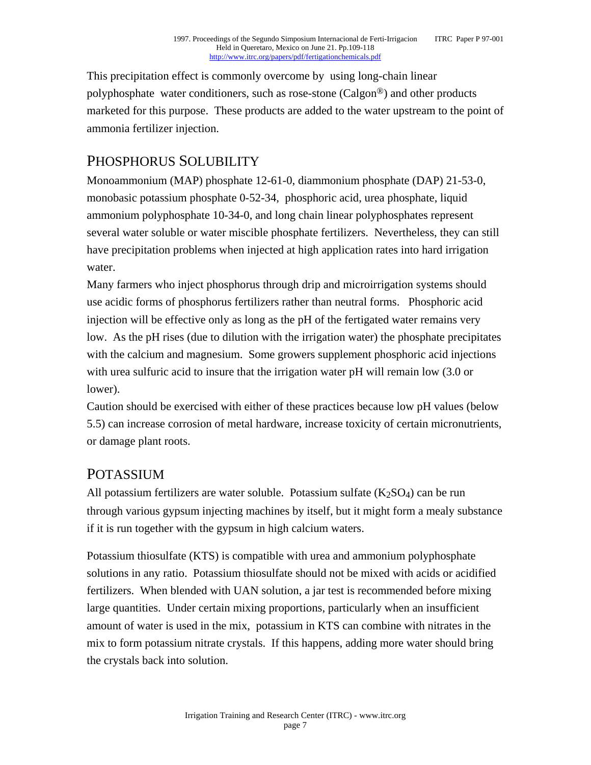This precipitation effect is commonly overcome by using long-chain linear polyphosphate water conditioners, such as rose-stone (Calgon<sup>®</sup>) and other products marketed for this purpose. These products are added to the water upstream to the point of ammonia fertilizer injection.

### PHOSPHORUS SOLUBILITY

Monoammonium (MAP) phosphate 12-61-0, diammonium phosphate (DAP) 21-53-0, monobasic potassium phosphate 0-52-34, phosphoric acid, urea phosphate, liquid ammonium polyphosphate 10-34-0, and long chain linear polyphosphates represent several water soluble or water miscible phosphate fertilizers. Nevertheless, they can still have precipitation problems when injected at high application rates into hard irrigation water.

Many farmers who inject phosphorus through drip and microirrigation systems should use acidic forms of phosphorus fertilizers rather than neutral forms. Phosphoric acid injection will be effective only as long as the pH of the fertigated water remains very low. As the pH rises (due to dilution with the irrigation water) the phosphate precipitates with the calcium and magnesium. Some growers supplement phosphoric acid injections with urea sulfuric acid to insure that the irrigation water pH will remain low (3.0 or lower).

Caution should be exercised with either of these practices because low pH values (below 5.5) can increase corrosion of metal hardware, increase toxicity of certain micronutrients, or damage plant roots.

### POTASSIUM

All potassium fertilizers are water soluble. Potassium sulfate  $(K_2SO_4)$  can be run through various gypsum injecting machines by itself, but it might form a mealy substance if it is run together with the gypsum in high calcium waters.

Potassium thiosulfate (KTS) is compatible with urea and ammonium polyphosphate solutions in any ratio. Potassium thiosulfate should not be mixed with acids or acidified fertilizers. When blended with UAN solution, a jar test is recommended before mixing large quantities. Under certain mixing proportions, particularly when an insufficient amount of water is used in the mix, potassium in KTS can combine with nitrates in the mix to form potassium nitrate crystals. If this happens, adding more water should bring the crystals back into solution.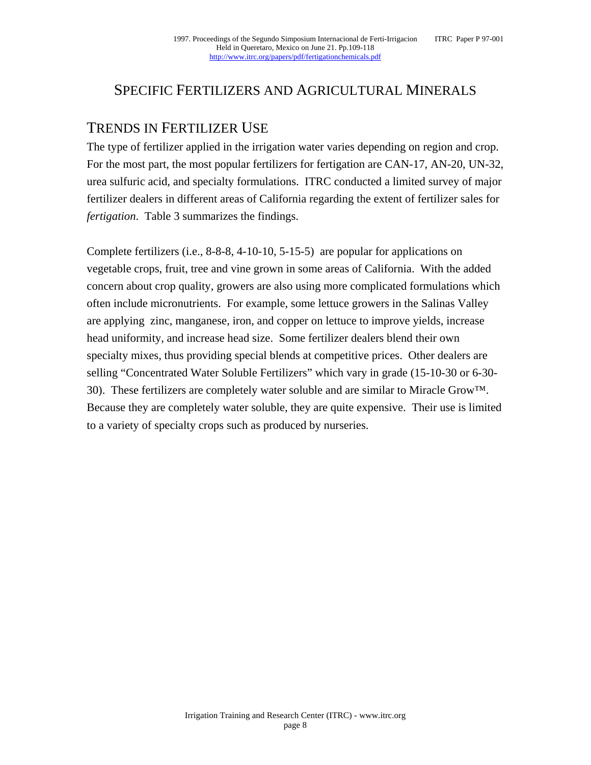### SPECIFIC FERTILIZERS AND AGRICULTURAL MINERALS

### TRENDS IN FERTILIZER USE

The type of fertilizer applied in the irrigation water varies depending on region and crop. For the most part, the most popular fertilizers for fertigation are CAN-17, AN-20, UN-32, urea sulfuric acid, and specialty formulations. ITRC conducted a limited survey of major fertilizer dealers in different areas of California regarding the extent of fertilizer sales for *fertigation*. Table 3 summarizes the findings.

Complete fertilizers (i.e., 8-8-8, 4-10-10, 5-15-5) are popular for applications on vegetable crops, fruit, tree and vine grown in some areas of California. With the added concern about crop quality, growers are also using more complicated formulations which often include micronutrients. For example, some lettuce growers in the Salinas Valley are applying zinc, manganese, iron, and copper on lettuce to improve yields, increase head uniformity, and increase head size. Some fertilizer dealers blend their own specialty mixes, thus providing special blends at competitive prices. Other dealers are selling "Concentrated Water Soluble Fertilizers" which vary in grade (15-10-30 or 6-30- 30). These fertilizers are completely water soluble and are similar to Miracle Grow $^{TM}$ . Because they are completely water soluble, they are quite expensive. Their use is limited to a variety of specialty crops such as produced by nurseries.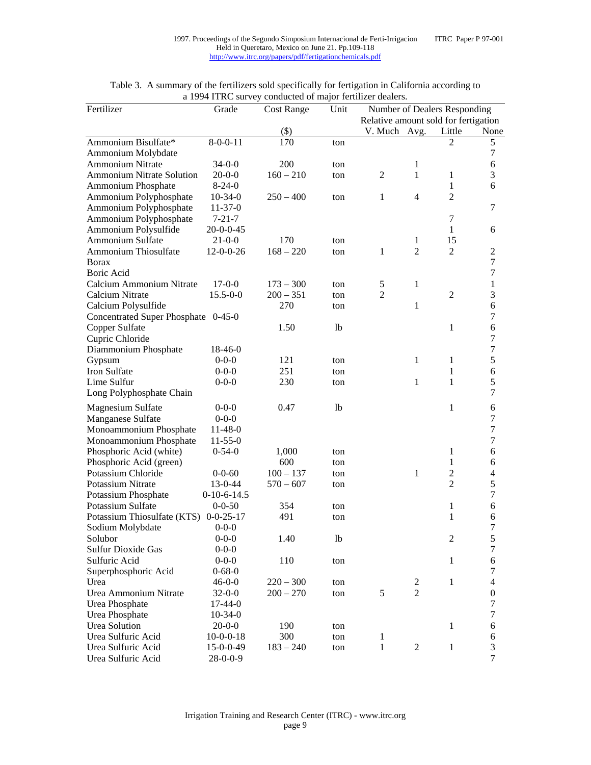| Fertilizer                            | Grade             | <b>Cost Range</b> | Unit | Number of Dealers Responding         |                |                  |                  |
|---------------------------------------|-------------------|-------------------|------|--------------------------------------|----------------|------------------|------------------|
|                                       |                   |                   |      | Relative amount sold for fertigation |                |                  |                  |
|                                       |                   | $(\$)$            |      | V. Much Avg.                         |                | Little           | None             |
| Ammonium Bisulfate*                   | $8 - 0 - 0 - 11$  | 170               | ton  |                                      |                | $\overline{2}$   | 5                |
| Ammonium Molybdate                    |                   |                   |      |                                      |                |                  | 7                |
| <b>Ammonium Nitrate</b>               | $34 - 0 - 0$      | 200               | ton  |                                      | 1              |                  | 6                |
| <b>Ammonium Nitrate Solution</b>      | $20-0-0$          | $160 - 210$       | ton  | $\overline{2}$                       | $\mathbf{1}$   | 1                | 3                |
| Ammonium Phosphate                    | $8-24-0$          |                   |      |                                      |                | $\mathbf{1}$     | 6                |
| Ammonium Polyphosphate                | $10-34-0$         | $250 - 400$       | ton  | 1                                    | $\overline{4}$ | $\overline{2}$   |                  |
| Ammonium Polyphosphate                | $11 - 37 - 0$     |                   |      |                                      |                |                  | $\tau$           |
| Ammonium Polyphosphate                | $7 - 21 - 7$      |                   |      |                                      |                | 7                |                  |
| Ammonium Polysulfide                  | 20-0-0-45         |                   |      |                                      |                | $\mathbf{1}$     | 6                |
| Ammonium Sulfate                      | $21 - 0 - 0$      | 170               | ton  |                                      | 1              | 15               |                  |
| Ammonium Thiosulfate                  | $12 - 0 - 0 - 26$ | $168 - 220$       | ton  | 1                                    | $\overline{2}$ | $\overline{2}$   | 2                |
| Borax                                 |                   |                   |      |                                      |                |                  | 7                |
| Boric Acid                            |                   |                   |      |                                      |                |                  | $\tau$           |
| Calcium Ammonium Nitrate              | $17-0-0$          | $173 - 300$       | ton  | 5                                    | 1              |                  | $\mathbf{1}$     |
| Calcium Nitrate                       | $15.5 - 0 - 0$    | $200 - 351$       | ton  | $\overline{2}$                       |                | $\overline{2}$   | 3                |
| Calcium Polysulfide                   |                   | 270               | ton  |                                      | 1              |                  | 6                |
| Concentrated Super Phosphate 0-45-0   |                   |                   |      |                                      |                |                  | $\tau$           |
| Copper Sulfate                        |                   | 1.50              | 1b   |                                      |                | 1                | 6                |
| Cupric Chloride                       |                   |                   |      |                                      |                |                  | 7                |
| Diammonium Phosphate                  | $18-46-0$         |                   |      |                                      |                |                  | 7                |
| Gypsum                                | $0 - 0 - 0$       | 121               |      |                                      | 1              | 1                | 5                |
| Iron Sulfate                          | $0 - 0 - 0$       | 251               | ton  |                                      |                | 1                | 6                |
| Lime Sulfur                           | $0 - 0 - 0$       | 230               | ton  |                                      | 1              | 1                | 5                |
|                                       |                   |                   | ton  |                                      |                |                  | $\tau$           |
| Long Polyphosphate Chain              |                   |                   |      |                                      |                |                  |                  |
| <b>Magnesium Sulfate</b>              | $0 - 0 - 0$       | 0.47              | 1b   |                                      |                | 1                | 6                |
| Manganese Sulfate                     | $0 - 0 - 0$       |                   |      |                                      |                |                  | $\tau$           |
| Monoammonium Phosphate                | $11-48-0$         |                   |      |                                      |                |                  | $\tau$           |
| Monoammonium Phosphate                | $11 - 55 - 0$     |                   |      |                                      |                |                  | 7                |
| Phosphoric Acid (white)               | $0 - 54 - 0$      | 1,000             | ton  |                                      |                | 1                | 6                |
| Phosphoric Acid (green)               |                   | 600               | ton  |                                      |                | 1                | 6                |
| Potassium Chloride                    | $0 - 0 - 60$      | $100 - 137$       | ton  |                                      | 1              | $\overline{2}$   | $\overline{4}$   |
| Potassium Nitrate                     | $13 - 0 - 44$     | $570 - 607$       | ton  |                                      |                | $\overline{2}$   | 5                |
| Potassium Phosphate                   | $0-10-6-14.5$     |                   |      |                                      |                |                  | 7                |
| Potassium Sulfate                     | $0 - 0 - 50$      | 354               | ton  |                                      |                | 1                | 6                |
| Potassium Thiosulfate (KTS) 0-0-25-17 |                   | 491               | ton  |                                      |                | 1                | 6                |
| Sodium Molybdate                      | $0 - 0 - 0$       |                   |      |                                      |                |                  | 7                |
| Solubor                               | $0 - 0 - 0$       | 1.40              | 1b   |                                      |                | $\boldsymbol{2}$ | 5                |
| Sulfur Dioxide Gas                    | $0 - 0 - 0$       |                   |      |                                      |                |                  | $\boldsymbol{7}$ |
| Sulfuric Acid                         | $0 - 0 - 0$       | 110               | ton  |                                      |                | $\mathbf{1}$     | $\epsilon$       |
| Superphosphoric Acid                  | $0 - 68 - 0$      |                   |      |                                      |                |                  | 7                |
| Urea                                  | $46 - 0 - 0$      | $220 - 300$       | ton  |                                      | $\overline{c}$ | $\mathbf{1}$     | 4                |
| Urea Ammonium Nitrate                 | $32 - 0 - 0$      | $200 - 270$       | ton  | 5                                    | $\mathfrak{2}$ |                  | $\boldsymbol{0}$ |
| Urea Phosphate                        | $17-44-0$         |                   |      |                                      |                |                  | 7                |
| Urea Phosphate                        | $10-34-0$         |                   |      |                                      |                |                  | $\tau$           |
| Urea Solution                         | $20-0-0$          | 190               | ton  |                                      |                | $\mathbf{1}$     | 6                |
| Urea Sulfuric Acid                    | $10-0-0-18$       | 300               | ton  | 1                                    |                |                  | $\sqrt{6}$       |
| Urea Sulfuric Acid                    | $15-0-0-49$       | $183 - 240$       | ton  | $\mathbf{1}$                         | $\mathbf{2}$   | $\mathbf 1$      | $\mathfrak 3$    |
| Urea Sulfuric Acid                    | $28-0-0-9$        |                   |      |                                      |                |                  | $\tau$           |

Table 3. A summary of the fertilizers sold specifically for fertigation in California according to a 1994 ITRC survey conducted of major fertilizer dealers.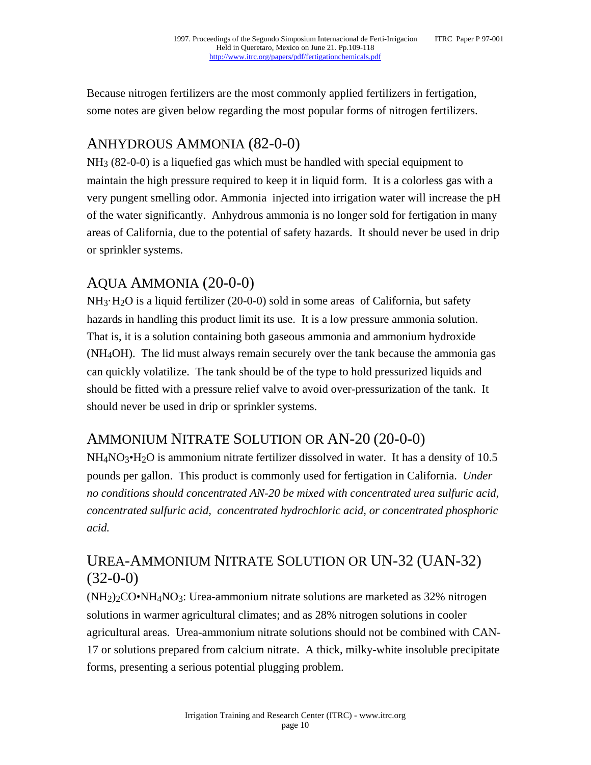Because nitrogen fertilizers are the most commonly applied fertilizers in fertigation, some notes are given below regarding the most popular forms of nitrogen fertilizers.

### ANHYDROUS AMMONIA (82-0-0)

NH3 (82-0-0) is a liquefied gas which must be handled with special equipment to maintain the high pressure required to keep it in liquid form. It is a colorless gas with a very pungent smelling odor. Ammonia injected into irrigation water will increase the pH of the water significantly. Anhydrous ammonia is no longer sold for fertigation in many areas of California, due to the potential of safety hazards. It should never be used in drip or sprinkler systems.

# AQUA AMMONIA (20-0-0)

 $NH<sub>3</sub>·H<sub>2</sub>O$  is a liquid fertilizer (20-0-0) sold in some areas of California, but safety hazards in handling this product limit its use. It is a low pressure ammonia solution. That is, it is a solution containing both gaseous ammonia and ammonium hydroxide (NH4OH). The lid must always remain securely over the tank because the ammonia gas can quickly volatilize. The tank should be of the type to hold pressurized liquids and should be fitted with a pressure relief valve to avoid over-pressurization of the tank. It should never be used in drip or sprinkler systems.

# AMMONIUM NITRATE SOLUTION OR AN-20 (20-0-0)

 $NH<sub>4</sub>NO<sub>3</sub>·H<sub>2</sub>O$  is ammonium nitrate fertilizer dissolved in water. It has a density of 10.5 pounds per gallon. This product is commonly used for fertigation in California. *Under no conditions should concentrated AN-20 be mixed with concentrated urea sulfuric acid, concentrated sulfuric acid, concentrated hydrochloric acid, or concentrated phosphoric acid.*

# UREA-AMMONIUM NITRATE SOLUTION OR UN-32 (UAN-32)  $(32-0-0)$

 $(NH<sub>2</sub>)<sub>2</sub>CO<sup>•</sup>NH<sub>4</sub>NO<sub>3</sub>$ : Urea-ammonium nitrate solutions are marketed as 32% nitrogen solutions in warmer agricultural climates; and as 28% nitrogen solutions in cooler agricultural areas. Urea-ammonium nitrate solutions should not be combined with CAN-17 or solutions prepared from calcium nitrate. A thick, milky-white insoluble precipitate forms, presenting a serious potential plugging problem.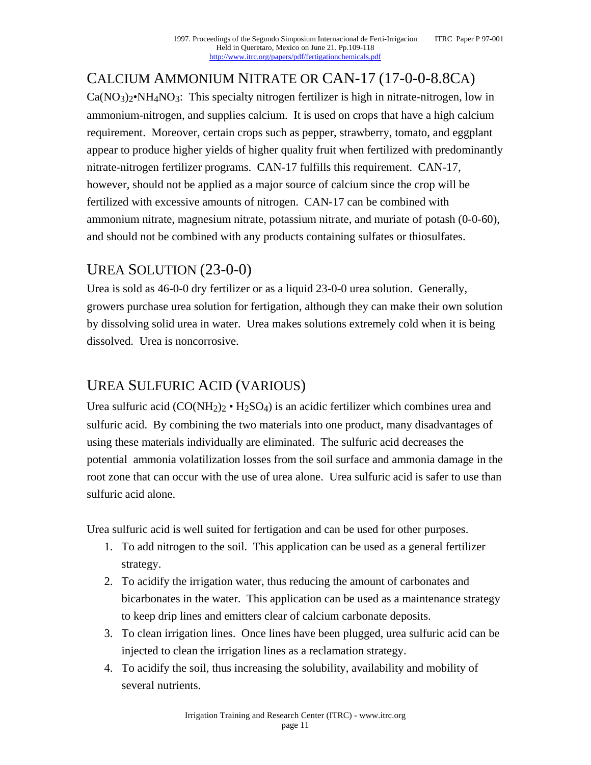# CALCIUM AMMONIUM NITRATE OR CAN-17 (17-0-0-8.8CA)

 $Ca(NO<sub>3</sub>)<sub>2</sub>•NH<sub>4</sub>NO<sub>3</sub>$ : This specialty nitrogen fertilizer is high in nitrate-nitrogen, low in ammonium-nitrogen, and supplies calcium. It is used on crops that have a high calcium requirement. Moreover, certain crops such as pepper, strawberry, tomato, and eggplant appear to produce higher yields of higher quality fruit when fertilized with predominantly nitrate-nitrogen fertilizer programs. CAN-17 fulfills this requirement. CAN-17, however, should not be applied as a major source of calcium since the crop will be fertilized with excessive amounts of nitrogen. CAN-17 can be combined with ammonium nitrate, magnesium nitrate, potassium nitrate, and muriate of potash (0-0-60), and should not be combined with any products containing sulfates or thiosulfates.

# UREA SOLUTION (23-0-0)

Urea is sold as 46-0-0 dry fertilizer or as a liquid 23-0-0 urea solution. Generally, growers purchase urea solution for fertigation, although they can make their own solution by dissolving solid urea in water. Urea makes solutions extremely cold when it is being dissolved. Urea is noncorrosive.

## UREA SULFURIC ACID (VARIOUS)

Urea sulfuric acid  $(CO(NH_2)_2 \cdot H_2SO_4)$  is an acidic fertilizer which combines urea and sulfuric acid. By combining the two materials into one product, many disadvantages of using these materials individually are eliminated. The sulfuric acid decreases the potential ammonia volatilization losses from the soil surface and ammonia damage in the root zone that can occur with the use of urea alone. Urea sulfuric acid is safer to use than sulfuric acid alone.

Urea sulfuric acid is well suited for fertigation and can be used for other purposes.

- 1. To add nitrogen to the soil. This application can be used as a general fertilizer strategy.
- 2. To acidify the irrigation water, thus reducing the amount of carbonates and bicarbonates in the water. This application can be used as a maintenance strategy to keep drip lines and emitters clear of calcium carbonate deposits.
- 3. To clean irrigation lines. Once lines have been plugged, urea sulfuric acid can be injected to clean the irrigation lines as a reclamation strategy.
- 4. To acidify the soil, thus increasing the solubility, availability and mobility of several nutrients.